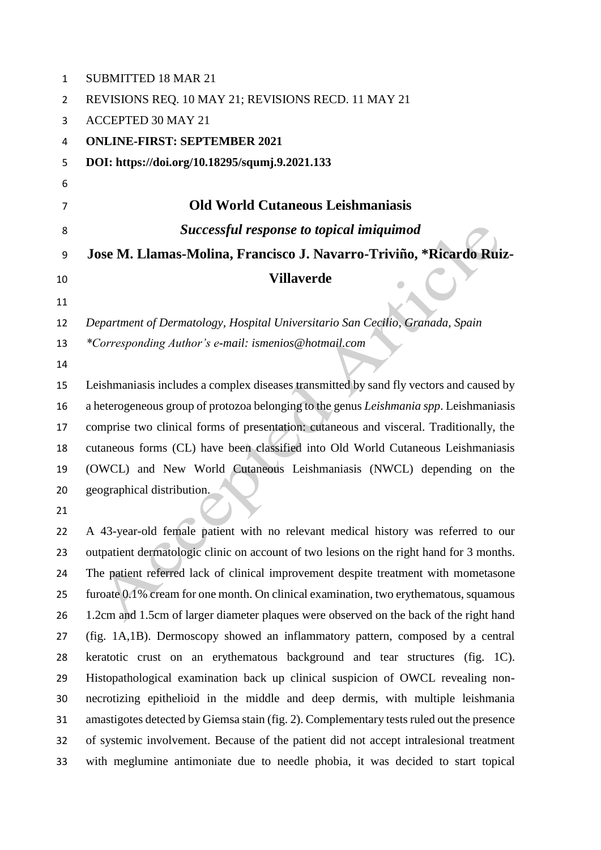| 1  | <b>SUBMITTED 18 MAR 21</b>                                                               |
|----|------------------------------------------------------------------------------------------|
| 2  | REVISIONS REQ. 10 MAY 21; REVISIONS RECD. 11 MAY 21                                      |
| 3  | <b>ACCEPTED 30 MAY 21</b>                                                                |
| 4  | <b>ONLINE-FIRST: SEPTEMBER 2021</b>                                                      |
| 5  | DOI: https://doi.org/10.18295/squmj.9.2021.133                                           |
| 6  |                                                                                          |
| 7  | <b>Old World Cutaneous Leishmaniasis</b>                                                 |
| 8  | Successful response to topical imiquimod                                                 |
| 9  | Jose M. Llamas-Molina, Francisco J. Navarro-Triviño, *Ricardo Ruiz-                      |
| 10 | <b>Villaverde</b>                                                                        |
| 11 |                                                                                          |
| 12 | Department of Dermatology, Hospital Universitario San Cecilio, Granada, Spain            |
| 13 | *Corresponding Author's e-mail: ismenios@hotmail.com                                     |
| 14 |                                                                                          |
| 15 | Leishmaniasis includes a complex diseases transmitted by sand fly vectors and caused by  |
| 16 | a heterogeneous group of protozoa belonging to the genus Leishmania spp. Leishmaniasis   |
| 17 | comprise two clinical forms of presentation: cutaneous and visceral. Traditionally, the  |
| 18 | cutaneous forms (CL) have been classified into Old World Cutaneous Leishmaniasis         |
| 19 | (OWCL) and New World Cutaneous Leishmaniasis (NWCL) depending on the                     |
| 20 | geographical distribution.                                                               |
| 21 |                                                                                          |
| 22 | A 43-year-old female patient with no relevant medical history was referred to our        |
| 23 | outpatient dermatologic clinic on account of two lesions on the right hand for 3 months. |
| 24 | The patient referred lack of clinical improvement despite treatment with mometasone      |
| 25 | furoate 0.1% cream for one month. On clinical examination, two erythematous, squamous    |
| 26 | 1.2cm and 1.5cm of larger diameter plaques were observed on the back of the right hand   |
| 27 | (fig. 1A.1B). Dermoscopy showed an inflammatory pattern, composed by a central           |

 A 43-year-old female patient with no relevant medical history was referred to our outpatient dermatologic clinic on account of two lesions on the right hand for 3 months. The patient referred lack of clinical improvement despite treatment with mometasone furoate 0.1% cream for one month. On clinical examination, two erythematous, squamous 1.2cm and 1.5cm of larger diameter plaques were observed on the back of the right hand (fig. 1A,1B). Dermoscopy showed an inflammatory pattern, composed by a central keratotic crust on an erythematous background and tear structures (fig. 1C). Histopathological examination back up clinical suspicion of OWCL revealing non- necrotizing epithelioid in the middle and deep dermis, with multiple leishmania amastigotes detected by Giemsa stain (fig. 2). Complementary tests ruled out the presence of systemic involvement. Because of the patient did not accept intralesional treatment with meglumine antimoniate due to needle phobia, it was decided to start topical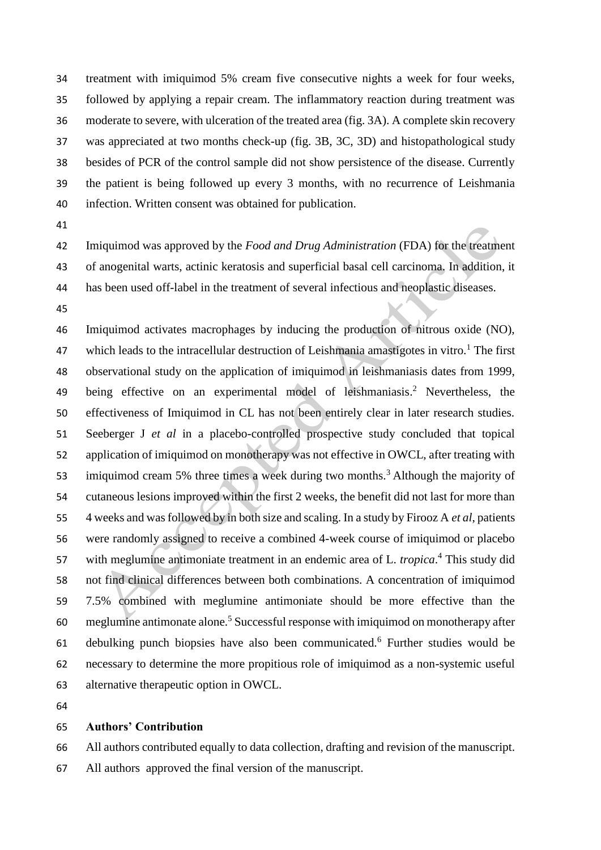treatment with imiquimod 5% cream five consecutive nights a week for four weeks, followed by applying a repair cream. The inflammatory reaction during treatment was moderate to severe, with ulceration of the treated area (fig. 3A). A complete skin recovery was appreciated at two months check-up (fig. 3B, 3C, 3D) and histopathological study besides of PCR of the control sample did not show persistence of the disease. Currently the patient is being followed up every 3 months, with no recurrence of Leishmania infection. Written consent was obtained for publication.

 Imiquimod was approved by the *Food and Drug Administration* (FDA) for the treatment of anogenital warts, actinic keratosis and superficial basal cell carcinoma. In addition, it has been used off-label in the treatment of several infectious and neoplastic diseases.

 Imiquimod activates macrophages by inducing the production of nitrous oxide (NO), 47 which leads to the intracellular destruction of Leishmania amastigotes in vitro.<sup>1</sup> The first observational study on the application of imiquimod in leishmaniasis dates from 1999, 49 being effective on an experimental model of leishmaniasis.<sup>2</sup> Nevertheless, the effectiveness of Imiquimod in CL has not been entirely clear in later research studies. Seeberger J *et al* in a placebo-controlled prospective study concluded that topical application of imiquimod on monotherapy was not effective in OWCL, after treating with 53 imiquimod cream 5% three times a week during two months.<sup>3</sup> Although the majority of cutaneous lesions improved within the first 2 weeks, the benefit did not last for more than 4 weeks and was followed by in both size and scaling. In a study by Firooz A *et al*, patients were randomly assigned to receive a combined 4-week course of imiquimod or placebo 57 with meglumine antimoniate treatment in an endemic area of L. *tropica*.<sup>4</sup> This study did not find clinical differences between both combinations. A concentration of imiquimod 7.5% combined with meglumine antimoniate should be more effective than the 60 meglumine antimonate alone.<sup>5</sup> Successful response with imiquimod on monotherapy after 61 debulking punch biopsies have also been communicated.<sup>6</sup> Further studies would be necessary to determine the more propitious role of imiquimod as a non-systemic useful alternative therapeutic option in OWCL.

## **Authors' Contribution**

All authors contributed equally to data collection, drafting and revision of the manuscript.

All authors approved the final version of the manuscript.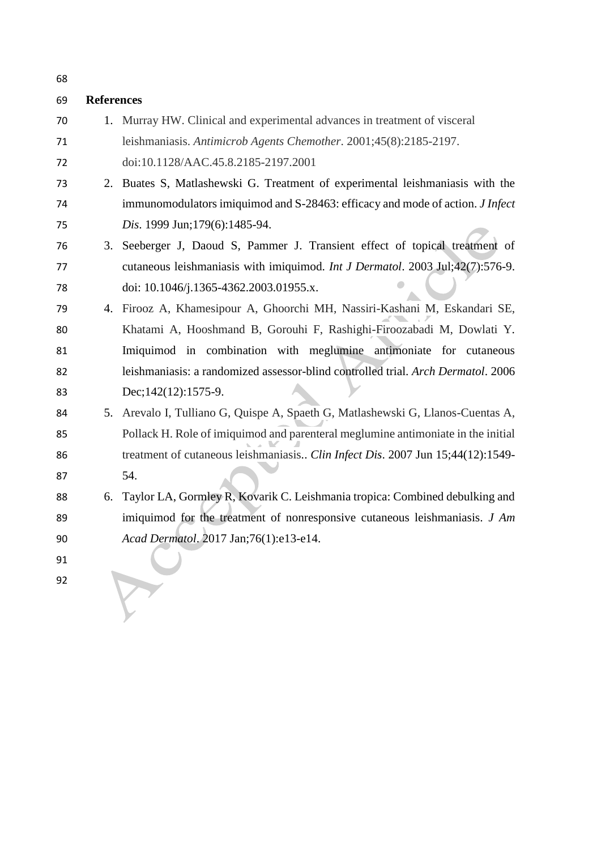| 69 | <b>References</b> |                                                                                       |
|----|-------------------|---------------------------------------------------------------------------------------|
| 70 |                   | 1. Murray HW. Clinical and experimental advances in treatment of visceral             |
| 71 |                   | leishmaniasis. Antimicrob Agents Chemother. 2001;45(8):2185-2197.                     |
| 72 |                   | doi:10.1128/AAC.45.8.2185-2197.2001                                                   |
| 73 |                   | 2. Buates S, Matlashewski G. Treatment of experimental leishmaniasis with the         |
| 74 |                   | immunomodulators imiquimod and S-28463: efficacy and mode of action. <i>J Infect</i>  |
| 75 |                   | Dis. 1999 Jun; 179(6): 1485-94.                                                       |
| 76 | 3.                | Seeberger J, Daoud S, Pammer J. Transient effect of topical treatment of              |
| 77 |                   | cutaneous leishmaniasis with imiquimod. <i>Int J Dermatol</i> . 2003 Jul;42(7):576-9. |
| 78 |                   | doi: 10.1046/j.1365-4362.2003.01955.x.                                                |
| 79 | 4.                | Firooz A, Khamesipour A, Ghoorchi MH, Nassiri-Kashani M, Eskandari SE,                |
| 80 |                   | Khatami A, Hooshmand B, Gorouhi F, Rashighi-Firoozabadi M, Dowlati Y.                 |
| 81 |                   | Imiquimod in combination with meglumine antimoniate for cutaneous                     |
| 82 |                   | leishmaniasis: a randomized assessor-blind controlled trial. Arch Dermatol. 2006      |
| 83 |                   | Dec; $142(12)$ : $1575-9$ .                                                           |
| 84 |                   | 5. Arevalo I, Tulliano G, Quispe A, Spaeth G, Matlashewski G, Llanos-Cuentas A,       |
| 85 |                   | Pollack H. Role of imiquimod and parenteral meglumine antimoniate in the initial      |
| 86 |                   | treatment of cutaneous leishmaniasis Clin Infect Dis. 2007 Jun 15;44(12):1549-        |
| 87 |                   | 54.                                                                                   |
| 88 | 6.                | Taylor LA, Gormley R, Kovarik C. Leishmania tropica: Combined debulking and           |
| 89 |                   | imiquimod for the treatment of nonresponsive cutaneous leishmaniasis. $J Am$          |
| 90 |                   | Acad Dermatol. 2017 Jan;76(1):e13-e14.                                                |
| 91 |                   |                                                                                       |
| 92 |                   |                                                                                       |
|    |                   |                                                                                       |
|    |                   |                                                                                       |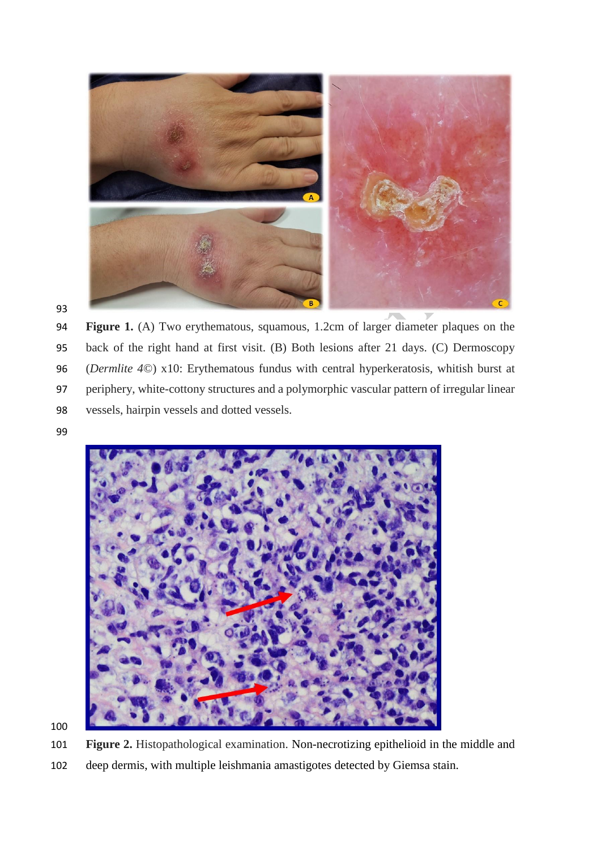

 **Figure 1.** (A) Two erythematous, squamous, 1.2cm of larger diameter plaques on the back of the right hand at first visit. (B) Both lesions after 21 days. (C) Dermoscopy (*Dermlite 4*©) x10: Erythematous fundus with central hyperkeratosis, whitish burst at periphery, white-cottony structures and a polymorphic vascular pattern of irregular linear vessels, hairpin vessels and dotted vessels.



**Figure 2.** Histopathological examination. Non-necrotizing epithelioid in the middle and

deep dermis, with multiple leishmania amastigotes detected by Giemsa stain.